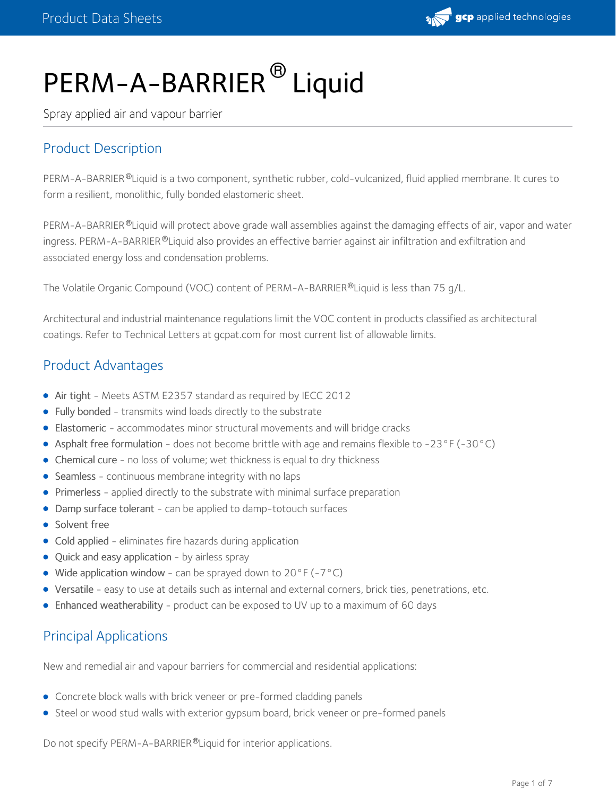

# PERM-A-BARRIER<sup>®</sup> Liquid

Spray applied air and vapour barrier

## Product Description

PERM-A-BARRIER®Liquid is a two component, synthetic rubber, cold-vulcanized, fluid applied membrane. It cures to form a resilient, monolithic, fully bonded elastomeric sheet.

PERM-A-BARRIER®Liquid will protect above grade wall assemblies against the damaging effects of air, vapor and water ingress. PERM-A-BARRIER ®Liquid also provides an effective barrier against air infiltration and exfiltration and associated energy loss and condensation problems.

The Volatile Organic Compound (VOC) content of PERM-A-BARRIER®Liquid is less than 75 g/L.

Architectural and industrial maintenance regulations limit the VOC content in products classified as architectural coatings. Refer to Technical Letters at gcpat.com for most current list of allowable limits.

## Product Advantages

- Air tight Meets ASTM E2357 standard as required by IECC 2012
- Fully bonded transmits wind loads directly to the substrate
- Elastomeric accommodates minor structural movements and will bridge cracks
- Asphalt free formulation does not become brittle with age and remains flexible to -23°F (-30°C)
- Chemical cure no loss of volume; wet thickness is equal to dry thickness
- Seamless continuous membrane integrity with no laps
- Primerless applied directly to the substrate with minimal surface preparation
- Damp surface tolerant can be applied to damp-totouch surfaces
- Solvent free
- Cold applied eliminates fire hazards during application
- Quick and easy application by airless spray
- Wide application window can be sprayed down to  $20^{\circ}F(-7^{\circ}C)$
- Versatile easy to use at details such as internal and external corners, brick ties, penetrations, etc.
- Enhanced weatherability product can be exposed to UV up to a maximum of 60 days

## Principal Applications

New and remedial air and vapour barriers for commercial and residential applications:

- Concrete block walls with brick veneer or pre-formed cladding panels
- Steel or wood stud walls with exterior gypsum board, brick veneer or pre-formed panels

Do not specify PERM-A-BARRIER®Liquid for interior applications.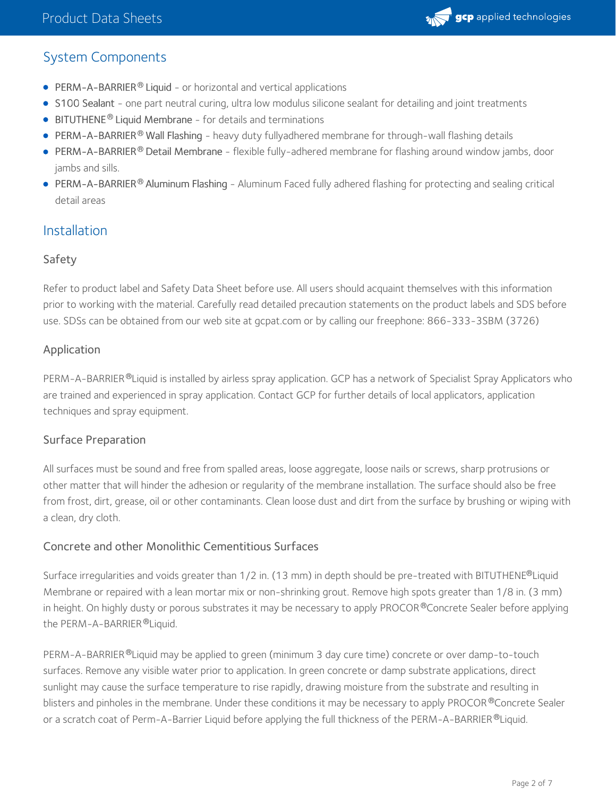

## System Components

- PERM-A-BARRIER® Liquid or horizontal and vertical applications
- S100 Sealant one part neutral curing, ultra low modulus silicone sealant for detailing and joint treatments
- $\bullet$  BITUTHENE<sup>®</sup> Liquid Membrane for details and terminations
- PERM-A-BARRIER® Wall Flashing heavy duty fullyadhered membrane for through-wall flashing details
- PERM-A-BARRIER® Detail Membrane flexible fully-adhered membrane for flashing around window jambs, door jambs and sills.
- PERM-A-BARRIER® Aluminum Flashing Aluminum Faced fully adhered flashing for protecting and sealing critical detail areas

## Installation

#### Safety

Refer to product label and Safety Data Sheet before use. All users should acquaint themselves with this information prior to working with the material. Carefully read detailed precaution statements on the product labels and SDS before use. SDSs can be obtained from our web site at gcpat.com or by calling our freephone: 866-333-3SBM (3726)

#### Application

PERM-A-BARRIER®Liquid is installed by airless spray application. GCP has a network of Specialist Spray Applicators who are trained and experienced in spray application. Contact GCP for further details of local applicators, application techniques and spray equipment.

#### Surface Preparation

All surfaces must be sound and free from spalled areas, loose aggregate, loose nails or screws, sharp protrusions or other matter that will hinder the adhesion or regularity of the membrane installation. The surface should also be free from frost, dirt, grease, oil or other contaminants. Clean loose dust and dirt from the surface by brushing or wiping with a clean, dry cloth.

#### Concrete and other Monolithic Cementitious Surfaces

Surface irregularities and voids greater than 1/2 in. (13 mm) in depth should be pre-treated with BITUTHENE®Liquid Membrane or repaired with a lean mortar mix or non-shrinking grout. Remove high spots greater than 1/8 in. (3 mm) in height. On highly dusty or porous substrates it may be necessary to apply PROCOR®Concrete Sealer before applying the PERM-A-BARRIER ®Liquid.

PERM-A-BARRIER®Liquid may be applied to green (minimum 3 day cure time) concrete or over damp-to-touch surfaces. Remove any visible water prior to application. In green concrete or damp substrate applications, direct sunlight may cause the surface temperature to rise rapidly, drawing moisture from the substrate and resulting in blisters and pinholes in the membrane. Under these conditions it may be necessary to apply PROCOR®Concrete Sealer or a scratch coat of Perm-A-Barrier Liquid before applying the full thickness of the PERM-A-BARRIER ®Liquid.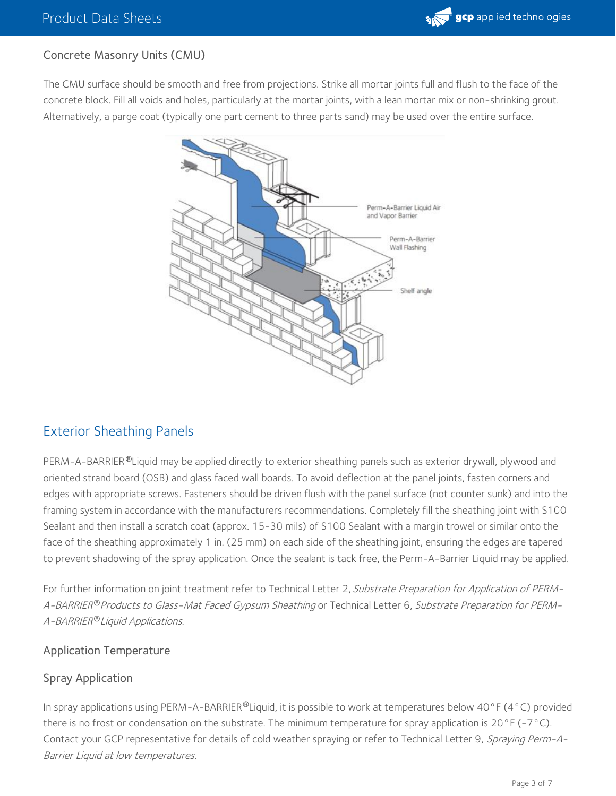#### Concrete Masonry Units (CMU)

The CMU surface should be smooth and free from projections. Strike all mortar joints full and flush to the face of the concrete block. Fill all voids and holes, particularly at the mortar joints, with a lean mortar mix or non-shrinking grout. Alternatively, a parge coat (typically one part cement to three parts sand) may be used over the entire surface.



### Exterior Sheathing Panels

PERM-A-BARRIER ®Liquid may be applied directly to exterior sheathing panels such as exterior drywall, plywood and oriented strand board (OSB) and glass faced wall boards. To avoid deflection at the panel joints, fasten corners and edges with appropriate screws. Fasteners should be driven flush with the panel surface (not counter sunk) and into the framing system in accordance with the manufacturers recommendations. Completely fill the sheathing joint with S100 Sealant and then install a scratch coat (approx. 15-30 mils) of S100 Sealant with a margin trowel or similar onto the face of the sheathing approximately 1 in. (25 mm) on each side of the sheathing joint, ensuring the edges are tapered to prevent shadowing of the spray application. Once the sealant is tack free, the Perm-A-Barrier Liquid may be applied.

For further information on joint treatment refer to Technical Letter 2, Substrate Preparation for Application of PERM-A-BARRIER® Products to Glass-Mat Faced Gypsum Sheathing or Technical Letter 6, Substrate Preparation for PERM-A-BARRIER®Liquid Applications.

#### Application Temperature

#### Spray Application

In spray applications using PERM-A-BARRIER®Liquid, it is possible to work at temperatures below 40°F (4°C) provided there is no frost or condensation on the substrate. The minimum temperature for spray application is  $20^{\circ}$  F (-7 $^{\circ}$ C). Contact your GCP representative for details of cold weather spraying or refer to Technical Letter 9, Spraying Perm-A-Barrier Liquid at low temperatures.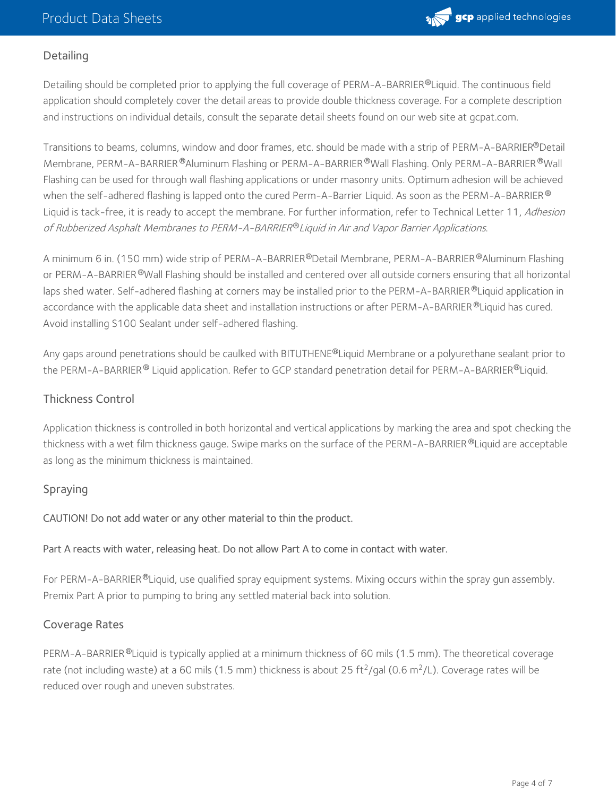

#### **Detailing**

Detailing should be completed prior to applying the full coverage of PERM-A-BARRIER®Liquid. The continuous field application should completely cover the detail areas to provide double thickness coverage. For a complete description and instructions on individual details, consult the separate detail sheets found on our web site at gcpat.com.

Transitions to beams, columns, window and door frames, etc. should be made with a strip of PERM-A-BARRIER®Detail Membrane, PERM-A-BARRIER ®Aluminum Flashing or PERM-A-BARRIER ®Wall Flashing. Only PERM-A-BARRIER ®Wall Flashing can be used for through wall flashing applications or under masonry units. Optimum adhesion will be achieved when the self-adhered flashing is lapped onto the cured Perm-A-Barrier Liquid. As soon as the PERM-A-BARRIER ® Liquid is tack-free, it is ready to accept the membrane. For further information, refer to Technical Letter 11, Adhesion of Rubberized Asphalt Membranes to PERM-A-BARRIER®Liquid in Air and Vapor Barrier Applications.

A minimum 6 in. (150 mm) wide strip of PERM-A-BARRIER®Detail Membrane, PERM-A-BARRIER®Aluminum Flashing or PERM-A-BARRIER®Wall Flashing should be installed and centered over all outside corners ensuring that all horizontal laps shed water. Self-adhered flashing at corners may be installed prior to the PERM-A-BARRIER®Liquid application in accordance with the applicable data sheet and installation instructions or after PERM-A-BARRIER ®Liquid has cured. Avoid installing S100 Sealant under self-adhered flashing.

Any gaps around penetrations should be caulked with BITUTHENE®Liquid Membrane or a polyurethane sealant prior to the PERM-A-BARRIER® Liquid application. Refer to GCP standard penetration detail for PERM-A-BARRIER®Liquid.

#### Thickness Control

Application thickness is controlled in both horizontal and vertical applications by marking the area and spot checking the thickness with a wet film thickness gauge. Swipe marks on the surface of the PERM-A-BARRIER®Liquid are acceptable as long as the minimum thickness is maintained.

#### Spraying

CAUTION! Do not add water or any other material to thin the product.

#### Part A reacts with water, releasing heat. Do not allow Part A to come in contact with water.

For PERM-A-BARRIER®Liquid, use qualified spray equipment systems. Mixing occurs within the spray gun assembly. Premix Part A prior to pumping to bring any settled material back into solution.

#### Coverage Rates

PERM-A-BARRIER®Liquid is typically applied at a minimum thickness of 60 mils (1.5 mm). The theoretical coverage rate (not including waste) at a 60 mils (1.5 mm) thickness is about 25 ft<sup>2</sup>/gal (0.6 m<sup>2</sup>/L). Coverage rates will be reduced over rough and uneven substrates.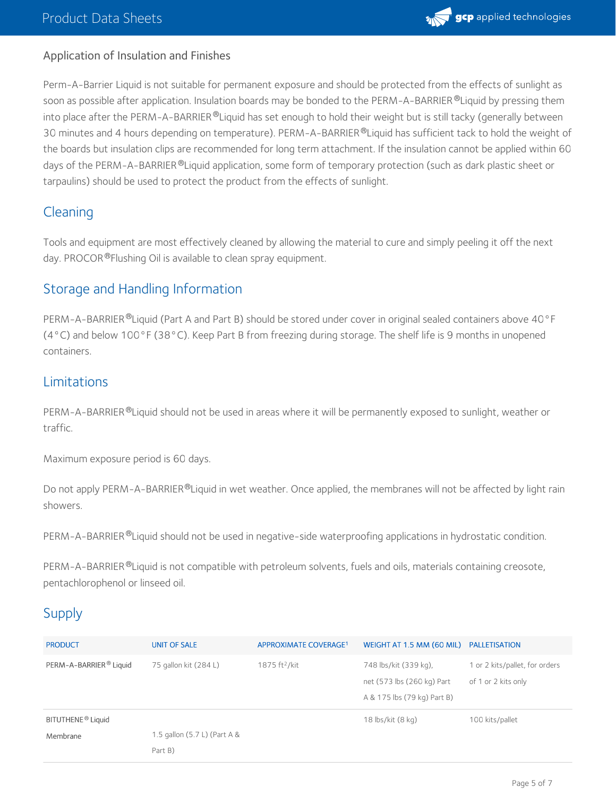

#### Application of Insulation and Finishes

Perm-A-Barrier Liquid is not suitable for permanent exposure and should be protected from the effects of sunlight as soon as possible after application. Insulation boards may be bonded to the PERM-A-BARRIER®Liquid by pressing them into place after the PERM-A-BARRIER  $^\circ$ Liquid has set enough to hold their weight but is still tacky (generally between 30 minutes and 4 hours depending on temperature). PERM-A-BARRIER®Liquid has sufficient tack to hold the weight of the boards but insulation clips are recommended for long term attachment. If the insulation cannot be applied within 60 days of the PERM-A-BARRIER ®Liquid application, some form of temporary protection (such as dark plastic sheet or tarpaulins) should be used to protect the product from the effects of sunlight.

## Cleaning

Tools and equipment are most effectively cleaned by allowing the material to cure and simply peeling it off the next day. PROCOR®Flushing Oil is available to clean spray equipment.

## Storage and Handling Information

PERM-A-BARRIER®Liquid (Part A and Part B) should be stored under cover in original sealed containers above 40°F (4°C) and below 100°F (38°C). Keep Part B from freezing during storage. The shelf life is 9 months in unopened containers.

## Limitations

PERM-A-BARRIER®Liquid should not be used in areas where it will be permanently exposed to sunlight, weather or traffic.

Maximum exposure period is 60 days.

Do not apply PERM-A-BARRIER®Liquid in wet weather. Once applied, the membranes will not be affected by light rain showers.

PERM-A-BARRIER <sup>®</sup>Liquid should not be used in negative-side waterproofing applications in hydrostatic condition.

PERM-A-BARRIER ®Liquid is not compatible with petroleum solvents, fuels and oils, materials containing creosote, pentachlorophenol or linseed oil.

## **Supply**

| <b>PRODUCT</b>                            | <b>UNIT OF SALE</b>          | APPROXIMATE COVERAGE <sup>1</sup> | WEIGHT AT 1.5 MM (60 MIL)                                                          | PALLETISATION                                         |
|-------------------------------------------|------------------------------|-----------------------------------|------------------------------------------------------------------------------------|-------------------------------------------------------|
| PERM-A-BARRIER <sup>®</sup> Liquid        | 75 gallon kit (284 L)        | 1875 $ft^2/kit$                   | 748 lbs/kit (339 kg),<br>net (573 lbs (260 kg) Part<br>A & 175 lbs (79 kg) Part B) | 1 or 2 kits/pallet, for orders<br>of 1 or 2 kits only |
| BITUTHENE <sup>®</sup> Liquid<br>Membrane | 1.5 gallon (5.7 L) (Part A & |                                   | 18 lbs/kit (8 kg)                                                                  | 100 kits/pallet                                       |
|                                           | Part B)                      |                                   |                                                                                    |                                                       |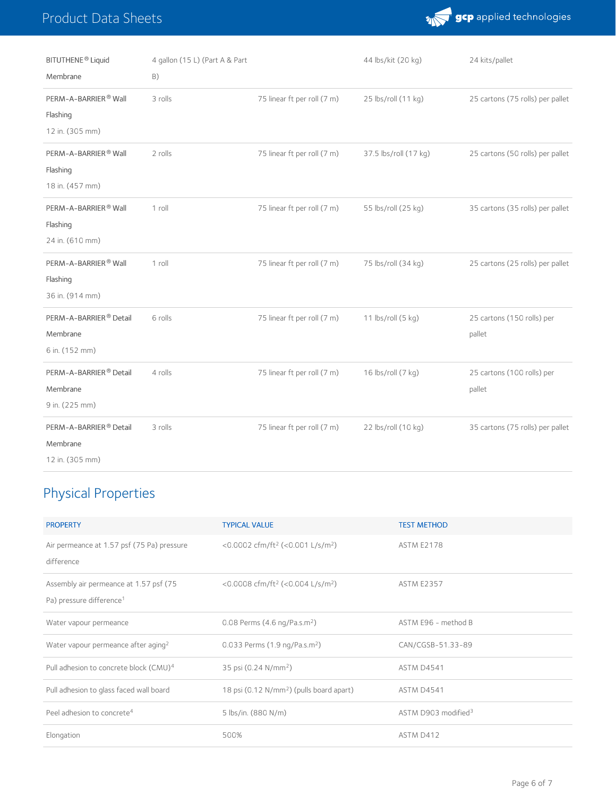## Product Data Sheets



| BITUTHENE <sup>®</sup> Liquid<br>Membrane                         | 4 gallon (15 L) (Part A & Part<br>B) |                             | 44 lbs/kit (20 kg)    | 24 kits/pallet                       |
|-------------------------------------------------------------------|--------------------------------------|-----------------------------|-----------------------|--------------------------------------|
| PERM-A-BARRIER <sup>®</sup> Wall<br>Flashing<br>12 in. (305 mm)   | 3 rolls                              | 75 linear ft per roll (7 m) | 25 lbs/roll (11 kg)   | 25 cartons (75 rolls) per pallet     |
| PERM-A-BARRIER® Wall<br>Flashing<br>18 in. (457 mm)               | 2 rolls                              | 75 linear ft per roll (7 m) | 37.5 lbs/roll (17 kg) | 25 cartons (50 rolls) per pallet     |
| PERM-A-BARRIER® Wall<br>Flashing<br>24 in. (610 mm)               | $1$ roll                             | 75 linear ft per roll (7 m) | 55 lbs/roll (25 kg)   | 35 cartons (35 rolls) per pallet     |
| PERM-A-BARRIER® Wall<br>Flashing<br>36 in. (914 mm)               | 1 roll                               | 75 linear ft per roll (7 m) | 75 lbs/roll (34 kg)   | 25 cartons (25 rolls) per pallet     |
| PERM-A-BARRIER® Detail<br>Membrane<br>6 in. (152 mm)              | 6 rolls                              | 75 linear ft per roll (7 m) | 11 lbs/roll (5 kg)    | 25 cartons (150 rolls) per<br>pallet |
| PERM-A-BARRIER <sup>®</sup> Detail<br>Membrane<br>9 in. (225 mm)  | 4 rolls                              | 75 linear ft per roll (7 m) | 16 lbs/roll (7 kg)    | 25 cartons (100 rolls) per<br>pallet |
| PERM-A-BARRIER <sup>®</sup> Detail<br>Membrane<br>12 in. (305 mm) | 3 rolls                              | 75 linear ft per roll (7 m) | 22 lbs/roll (10 kg)   | 35 cartons (75 rolls) per pallet     |

# Physical Properties

| <b>PROPERTY</b>                                                                | <b>TYPICAL VALUE</b>                                     | <b>TEST METHOD</b>              |
|--------------------------------------------------------------------------------|----------------------------------------------------------|---------------------------------|
| Air permeance at 1.57 psf (75 Pa) pressure<br>difference                       | <0.0002 cfm/ft <sup>2</sup> (<0.001 L/s/m <sup>2</sup> ) | <b>ASTM E2178</b>               |
| Assembly air permeance at 1.57 psf (75<br>Pa) pressure difference <sup>1</sup> | <0.0008 cfm/ft <sup>2</sup> (<0.004 L/s/m <sup>2</sup> ) | <b>ASTM E2357</b>               |
| Water vapour permeance                                                         | 0.08 Perms $(4.6 \text{ ng}/\text{Pa.s.m}^2)$            | ASTM E96 - method B             |
| Water vapour permeance after aging <sup>2</sup>                                | 0.033 Perms (1.9 ng/Pa.s.m <sup>2</sup> )                | CAN/CGSB-51.33-89               |
| Pull adhesion to concrete block (CMU) <sup>4</sup>                             | 35 psi (0.24 N/mm <sup>2</sup> )                         | ASTM D4541                      |
| Pull adhesion to glass faced wall board                                        | 18 psi (0.12 N/mm <sup>2</sup> ) (pulls board apart)     | <b>ASTM D4541</b>               |
| Peel adhesion to concrete <sup>4</sup>                                         | 5 lbs/in. (880 N/m)                                      | ASTM D903 modified <sup>3</sup> |
| Elongation                                                                     | 500%                                                     | ASTM D412                       |